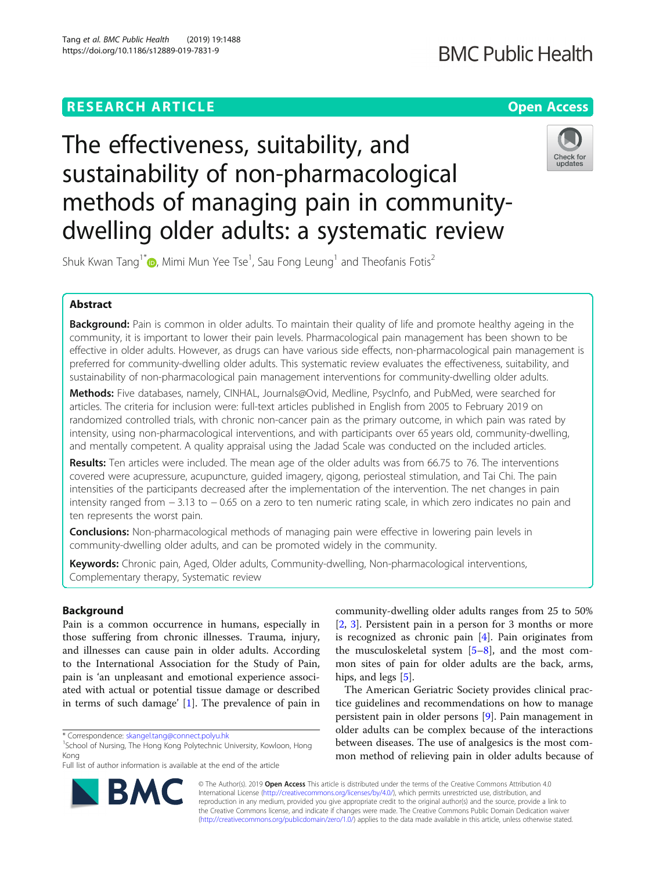## **RESEARCH ARTICLE Example 2014 12:30 The Contract of Contract ACCESS**

## **BMC Public Health**

# The effectiveness, suitability, and sustainability of non-pharmacological methods of managing pain in communitydwelling older adults: a systematic review



Shuk Kwan Tang<sup>1[\\*](http://orcid.org/0000-0002-7878-0794)</sup> $\bullet$ , Mimi Mun Yee Tse<sup>1</sup>, Sau Fong Leung<sup>1</sup> and Theofanis Fotis<sup>2</sup>

## Abstract

Background: Pain is common in older adults. To maintain their quality of life and promote healthy ageing in the community, it is important to lower their pain levels. Pharmacological pain management has been shown to be effective in older adults. However, as drugs can have various side effects, non-pharmacological pain management is preferred for community-dwelling older adults. This systematic review evaluates the effectiveness, suitability, and sustainability of non-pharmacological pain management interventions for community-dwelling older adults.

Methods: Five databases, namely, CINHAL, Journals@Ovid, Medline, PsycInfo, and PubMed, were searched for articles. The criteria for inclusion were: full-text articles published in English from 2005 to February 2019 on randomized controlled trials, with chronic non-cancer pain as the primary outcome, in which pain was rated by intensity, using non-pharmacological interventions, and with participants over 65 years old, community-dwelling, and mentally competent. A quality appraisal using the Jadad Scale was conducted on the included articles.

Results: Ten articles were included. The mean age of the older adults was from 66.75 to 76. The interventions covered were acupressure, acupuncture, guided imagery, qigong, periosteal stimulation, and Tai Chi. The pain intensities of the participants decreased after the implementation of the intervention. The net changes in pain intensity ranged from − 3.13 to − 0.65 on a zero to ten numeric rating scale, in which zero indicates no pain and ten represents the worst pain.

**Conclusions:** Non-pharmacological methods of managing pain were effective in lowering pain levels in community-dwelling older adults, and can be promoted widely in the community.

Keywords: Chronic pain, Aged, Older adults, Community-dwelling, Non-pharmacological interventions, Complementary therapy, Systematic review

## Background

Pain is a common occurrence in humans, especially in those suffering from chronic illnesses. Trauma, injury, and illnesses can cause pain in older adults. According to the International Association for the Study of Pain, pain is 'an unpleasant and emotional experience associated with actual or potential tissue damage or described in terms of such damage' [\[1](#page-8-0)]. The prevalence of pain in



The American Geriatric Society provides clinical practice guidelines and recommendations on how to manage persistent pain in older persons [[9\]](#page-8-0). Pain management in older adults can be complex because of the interactions between diseases. The use of analgesics is the most common method of relieving pain in older adults because of



© The Author(s). 2019 Open Access This article is distributed under the terms of the Creative Commons Attribution 4.0 International License [\(http://creativecommons.org/licenses/by/4.0/](http://creativecommons.org/licenses/by/4.0/)), which permits unrestricted use, distribution, and reproduction in any medium, provided you give appropriate credit to the original author(s) and the source, provide a link to the Creative Commons license, and indicate if changes were made. The Creative Commons Public Domain Dedication waiver [\(http://creativecommons.org/publicdomain/zero/1.0/](http://creativecommons.org/publicdomain/zero/1.0/)) applies to the data made available in this article, unless otherwise stated.

<sup>\*</sup> Correspondence: [skangel.tang@connect.polyu.hk](mailto:skangel.tang@connect.polyu.hk) <sup>1</sup>

<sup>&</sup>lt;sup>1</sup>School of Nursing, The Hong Kong Polytechnic University, Kowloon, Hong Kong

Full list of author information is available at the end of the article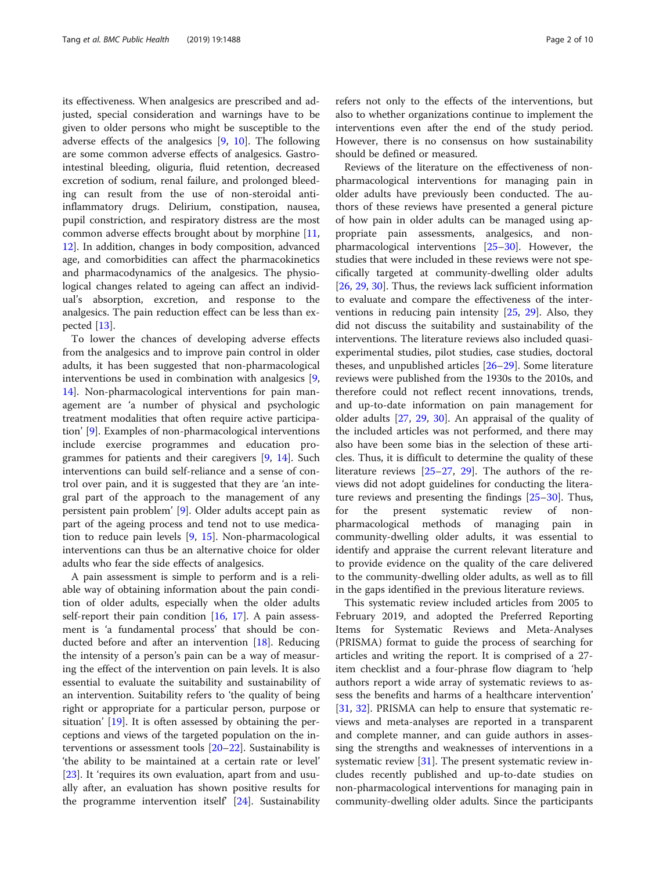its effectiveness. When analgesics are prescribed and adjusted, special consideration and warnings have to be given to older persons who might be susceptible to the adverse effects of the analgesics [\[9](#page-8-0), [10](#page-8-0)]. The following are some common adverse effects of analgesics. Gastrointestinal bleeding, oliguria, fluid retention, decreased excretion of sodium, renal failure, and prolonged bleeding can result from the use of non-steroidal antiinflammatory drugs. Delirium, constipation, nausea, pupil constriction, and respiratory distress are the most common adverse effects brought about by morphine [[11](#page-8-0), [12\]](#page-8-0). In addition, changes in body composition, advanced age, and comorbidities can affect the pharmacokinetics and pharmacodynamics of the analgesics. The physiological changes related to ageing can affect an individual's absorption, excretion, and response to the analgesics. The pain reduction effect can be less than expected [[13](#page-8-0)].

To lower the chances of developing adverse effects from the analgesics and to improve pain control in older adults, it has been suggested that non-pharmacological interventions be used in combination with analgesics [\[9](#page-8-0), [14\]](#page-8-0). Non-pharmacological interventions for pain management are 'a number of physical and psychologic treatment modalities that often require active participation' [\[9](#page-8-0)]. Examples of non-pharmacological interventions include exercise programmes and education programmes for patients and their caregivers [\[9](#page-8-0), [14](#page-8-0)]. Such interventions can build self-reliance and a sense of control over pain, and it is suggested that they are 'an integral part of the approach to the management of any persistent pain problem' [[9](#page-8-0)]. Older adults accept pain as part of the ageing process and tend not to use medication to reduce pain levels [[9,](#page-8-0) [15\]](#page-8-0). Non-pharmacological interventions can thus be an alternative choice for older adults who fear the side effects of analgesics.

A pain assessment is simple to perform and is a reliable way of obtaining information about the pain condition of older adults, especially when the older adults self-report their pain condition  $[16, 17]$  $[16, 17]$  $[16, 17]$  $[16, 17]$ . A pain assessment is 'a fundamental process' that should be conducted before and after an intervention  $[18]$  $[18]$ . Reducing the intensity of a person's pain can be a way of measuring the effect of the intervention on pain levels. It is also essential to evaluate the suitability and sustainability of an intervention. Suitability refers to 'the quality of being right or appropriate for a particular person, purpose or situation' [[19\]](#page-8-0). It is often assessed by obtaining the perceptions and views of the targeted population on the interventions or assessment tools [\[20](#page-8-0)–[22\]](#page-8-0). Sustainability is 'the ability to be maintained at a certain rate or level' [[23\]](#page-8-0). It 'requires its own evaluation, apart from and usually after, an evaluation has shown positive results for the programme intervention itself' [\[24\]](#page-8-0). Sustainability

refers not only to the effects of the interventions, but also to whether organizations continue to implement the interventions even after the end of the study period. However, there is no consensus on how sustainability should be defined or measured.

Reviews of the literature on the effectiveness of nonpharmacological interventions for managing pain in older adults have previously been conducted. The authors of these reviews have presented a general picture of how pain in older adults can be managed using appropriate pain assessments, analgesics, and nonpharmacological interventions [\[25](#page-8-0)–[30\]](#page-8-0). However, the studies that were included in these reviews were not specifically targeted at community-dwelling older adults [[26,](#page-8-0) [29,](#page-8-0) [30](#page-8-0)]. Thus, the reviews lack sufficient information to evaluate and compare the effectiveness of the interventions in reducing pain intensity [\[25](#page-8-0), [29\]](#page-8-0). Also, they did not discuss the suitability and sustainability of the interventions. The literature reviews also included quasiexperimental studies, pilot studies, case studies, doctoral theses, and unpublished articles [\[26](#page-8-0)–[29](#page-8-0)]. Some literature reviews were published from the 1930s to the 2010s, and therefore could not reflect recent innovations, trends, and up-to-date information on pain management for older adults [[27](#page-8-0), [29](#page-8-0), [30\]](#page-8-0). An appraisal of the quality of the included articles was not performed, and there may also have been some bias in the selection of these articles. Thus, it is difficult to determine the quality of these literature reviews [[25](#page-8-0)–[27](#page-8-0), [29](#page-8-0)]. The authors of the reviews did not adopt guidelines for conducting the literature reviews and presenting the findings [[25](#page-8-0)–[30](#page-8-0)]. Thus, for the present systematic review of nonpharmacological methods of managing pain in community-dwelling older adults, it was essential to identify and appraise the current relevant literature and to provide evidence on the quality of the care delivered to the community-dwelling older adults, as well as to fill in the gaps identified in the previous literature reviews.

This systematic review included articles from 2005 to February 2019, and adopted the Preferred Reporting Items for Systematic Reviews and Meta-Analyses (PRISMA) format to guide the process of searching for articles and writing the report. It is comprised of a 27 item checklist and a four-phrase flow diagram to 'help authors report a wide array of systematic reviews to assess the benefits and harms of a healthcare intervention' [[31,](#page-8-0) [32](#page-8-0)]. PRISMA can help to ensure that systematic reviews and meta-analyses are reported in a transparent and complete manner, and can guide authors in assessing the strengths and weaknesses of interventions in a systematic review [\[31](#page-8-0)]. The present systematic review includes recently published and up-to-date studies on non-pharmacological interventions for managing pain in community-dwelling older adults. Since the participants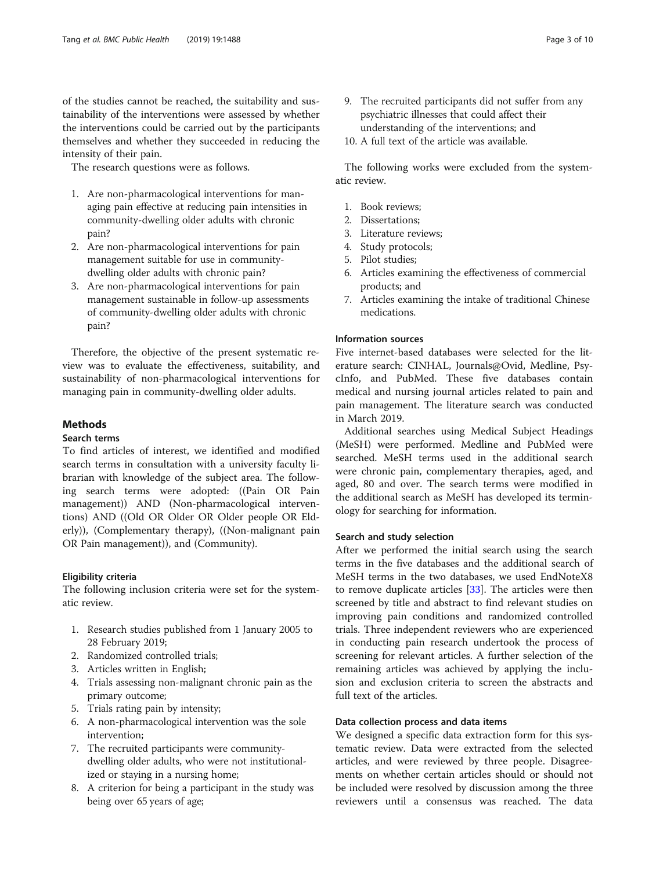of the studies cannot be reached, the suitability and sustainability of the interventions were assessed by whether the interventions could be carried out by the participants themselves and whether they succeeded in reducing the intensity of their pain.

The research questions were as follows.

- 1. Are non-pharmacological interventions for managing pain effective at reducing pain intensities in community-dwelling older adults with chronic pain?
- 2. Are non-pharmacological interventions for pain management suitable for use in communitydwelling older adults with chronic pain?
- 3. Are non-pharmacological interventions for pain management sustainable in follow-up assessments of community-dwelling older adults with chronic pain?

Therefore, the objective of the present systematic review was to evaluate the effectiveness, suitability, and sustainability of non-pharmacological interventions for managing pain in community-dwelling older adults.

## **Methods**

## Search terms

To find articles of interest, we identified and modified search terms in consultation with a university faculty librarian with knowledge of the subject area. The following search terms were adopted: ((Pain OR Pain management)) AND (Non-pharmacological interventions) AND ((Old OR Older OR Older people OR Elderly)), (Complementary therapy), ((Non-malignant pain OR Pain management)), and (Community).

## Eligibility criteria

The following inclusion criteria were set for the systematic review.

- 1. Research studies published from 1 January 2005 to 28 February 2019;
- 2. Randomized controlled trials;
- 3. Articles written in English;
- 4. Trials assessing non-malignant chronic pain as the primary outcome;
- 5. Trials rating pain by intensity;
- 6. A non-pharmacological intervention was the sole intervention;
- 7. The recruited participants were communitydwelling older adults, who were not institutionalized or staying in a nursing home;
- 8. A criterion for being a participant in the study was being over 65 years of age;
- 9. The recruited participants did not suffer from any psychiatric illnesses that could affect their understanding of the interventions; and
- 10. A full text of the article was available.

The following works were excluded from the systematic review.

- 1. Book reviews;
- 2. Dissertations;
- 3. Literature reviews;
- 4. Study protocols;
- 5. Pilot studies;
- 6. Articles examining the effectiveness of commercial products; and
- 7. Articles examining the intake of traditional Chinese medications.

## Information sources

Five internet-based databases were selected for the literature search: CINHAL, Journals@Ovid, Medline, PsycInfo, and PubMed. These five databases contain medical and nursing journal articles related to pain and pain management. The literature search was conducted in March 2019.

Additional searches using Medical Subject Headings (MeSH) were performed. Medline and PubMed were searched. MeSH terms used in the additional search were chronic pain, complementary therapies, aged, and aged, 80 and over. The search terms were modified in the additional search as MeSH has developed its terminology for searching for information.

## Search and study selection

After we performed the initial search using the search terms in the five databases and the additional search of MeSH terms in the two databases, we used EndNoteX8 to remove duplicate articles [[33](#page-8-0)]. The articles were then screened by title and abstract to find relevant studies on improving pain conditions and randomized controlled trials. Three independent reviewers who are experienced in conducting pain research undertook the process of screening for relevant articles. A further selection of the remaining articles was achieved by applying the inclusion and exclusion criteria to screen the abstracts and full text of the articles.

## Data collection process and data items

We designed a specific data extraction form for this systematic review. Data were extracted from the selected articles, and were reviewed by three people. Disagreements on whether certain articles should or should not be included were resolved by discussion among the three reviewers until a consensus was reached. The data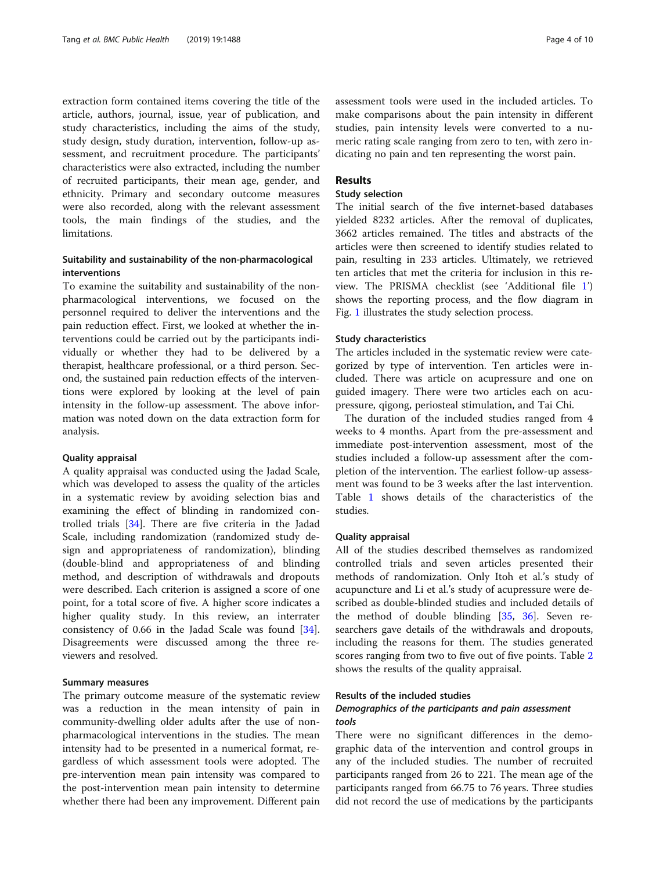extraction form contained items covering the title of the article, authors, journal, issue, year of publication, and study characteristics, including the aims of the study, study design, study duration, intervention, follow-up assessment, and recruitment procedure. The participants' characteristics were also extracted, including the number of recruited participants, their mean age, gender, and ethnicity. Primary and secondary outcome measures were also recorded, along with the relevant assessment tools, the main findings of the studies, and the limitations.

## Suitability and sustainability of the non-pharmacological interventions

To examine the suitability and sustainability of the nonpharmacological interventions, we focused on the personnel required to deliver the interventions and the pain reduction effect. First, we looked at whether the interventions could be carried out by the participants individually or whether they had to be delivered by a therapist, healthcare professional, or a third person. Second, the sustained pain reduction effects of the interventions were explored by looking at the level of pain intensity in the follow-up assessment. The above information was noted down on the data extraction form for analysis.

## Quality appraisal

A quality appraisal was conducted using the Jadad Scale, which was developed to assess the quality of the articles in a systematic review by avoiding selection bias and examining the effect of blinding in randomized controlled trials [[34\]](#page-8-0). There are five criteria in the Jadad Scale, including randomization (randomized study design and appropriateness of randomization), blinding (double-blind and appropriateness of and blinding method, and description of withdrawals and dropouts were described. Each criterion is assigned a score of one point, for a total score of five. A higher score indicates a higher quality study. In this review, an interrater consistency of 0.66 in the Jadad Scale was found [\[34](#page-8-0)]. Disagreements were discussed among the three reviewers and resolved.

## Summary measures

The primary outcome measure of the systematic review was a reduction in the mean intensity of pain in community-dwelling older adults after the use of nonpharmacological interventions in the studies. The mean intensity had to be presented in a numerical format, regardless of which assessment tools were adopted. The pre-intervention mean pain intensity was compared to the post-intervention mean pain intensity to determine whether there had been any improvement. Different pain assessment tools were used in the included articles. To make comparisons about the pain intensity in different studies, pain intensity levels were converted to a numeric rating scale ranging from zero to ten, with zero indicating no pain and ten representing the worst pain.

## Results

### Study selection

The initial search of the five internet-based databases yielded 8232 articles. After the removal of duplicates, 3662 articles remained. The titles and abstracts of the articles were then screened to identify studies related to pain, resulting in 233 articles. Ultimately, we retrieved ten articles that met the criteria for inclusion in this review. The PRISMA checklist (see 'Additional file [1](#page-8-0)') shows the reporting process, and the flow diagram in Fig. [1](#page-4-0) illustrates the study selection process.

## Study characteristics

The articles included in the systematic review were categorized by type of intervention. Ten articles were included. There was article on acupressure and one on guided imagery. There were two articles each on acupressure, qigong, periosteal stimulation, and Tai Chi.

The duration of the included studies ranged from 4 weeks to 4 months. Apart from the pre-assessment and immediate post-intervention assessment, most of the studies included a follow-up assessment after the completion of the intervention. The earliest follow-up assessment was found to be 3 weeks after the last intervention. Table [1](#page-5-0) shows details of the characteristics of the studies.

#### Quality appraisal

All of the studies described themselves as randomized controlled trials and seven articles presented their methods of randomization. Only Itoh et al.'s study of acupuncture and Li et al.'s study of acupressure were described as double-blinded studies and included details of the method of double blinding [[35](#page-8-0), [36](#page-8-0)]. Seven researchers gave details of the withdrawals and dropouts, including the reasons for them. The studies generated scores ranging from two to five out of five points. Table [2](#page-6-0) shows the results of the quality appraisal.

## Results of the included studies

## Demographics of the participants and pain assessment tools

There were no significant differences in the demographic data of the intervention and control groups in any of the included studies. The number of recruited participants ranged from 26 to 221. The mean age of the participants ranged from 66.75 to 76 years. Three studies did not record the use of medications by the participants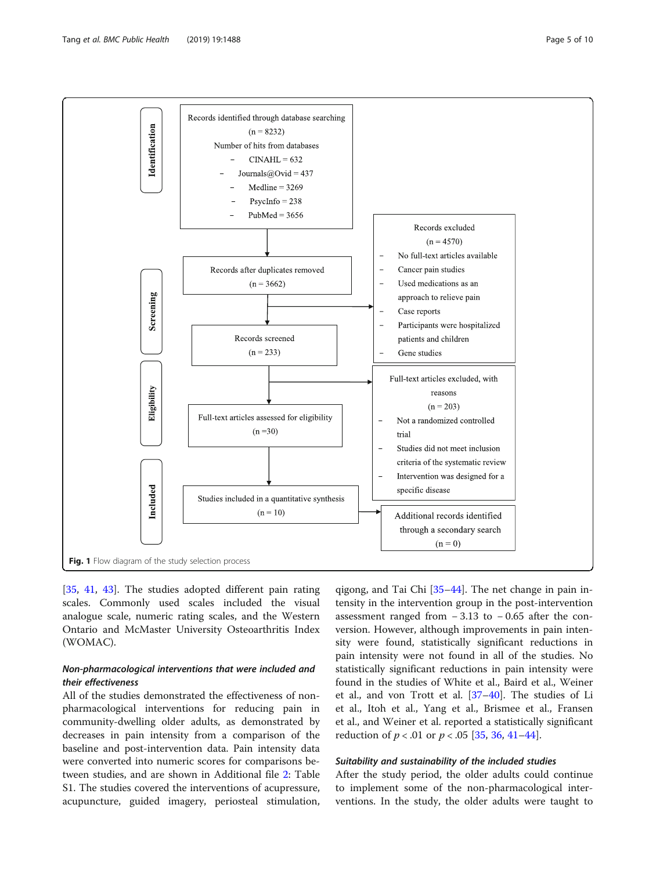

<span id="page-4-0"></span>

[[35,](#page-8-0) [41](#page-9-0), [43](#page-9-0)]. The studies adopted different pain rating scales. Commonly used scales included the visual analogue scale, numeric rating scales, and the Western Ontario and McMaster University Osteoarthritis Index (WOMAC).

## Non-pharmacological interventions that were included and their effectiveness

All of the studies demonstrated the effectiveness of nonpharmacological interventions for reducing pain in community-dwelling older adults, as demonstrated by decreases in pain intensity from a comparison of the baseline and post-intervention data. Pain intensity data were converted into numeric scores for comparisons between studies, and are shown in Additional file [2:](#page-8-0) Table S1. The studies covered the interventions of acupressure, acupuncture, guided imagery, periosteal stimulation,

qigong, and Tai Chi [[35](#page-8-0)–[44](#page-9-0)]. The net change in pain intensity in the intervention group in the post-intervention assessment ranged from − 3.13 to − 0.65 after the conversion. However, although improvements in pain intensity were found, statistically significant reductions in pain intensity were not found in all of the studies. No statistically significant reductions in pain intensity were found in the studies of White et al., Baird et al., Weiner et al., and von Trott et al. [\[37](#page-9-0)–[40\]](#page-9-0). The studies of Li et al., Itoh et al., Yang et al., Brismee et al., Fransen et al., and Weiner et al. reported a statistically significant reduction of  $p < .01$  or  $p < .05$  [\[35](#page-8-0), [36,](#page-8-0) [41](#page-9-0)–[44\]](#page-9-0).

## Suitability and sustainability of the included studies

After the study period, the older adults could continue to implement some of the non-pharmacological interventions. In the study, the older adults were taught to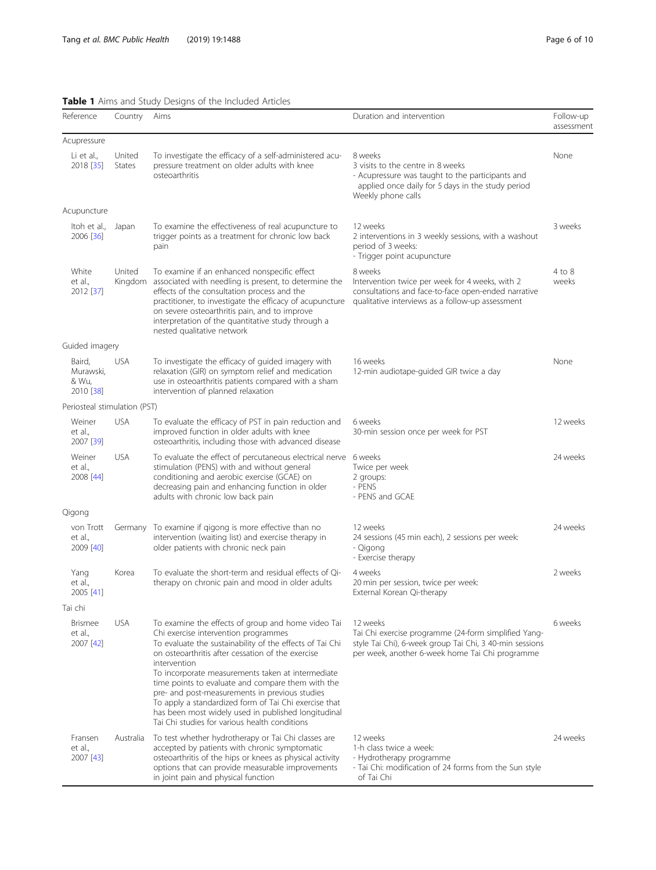| Page 6 of 10 |  |  |
|--------------|--|--|
|              |  |  |

<span id="page-5-0"></span>

| Reference                                 | Country                 | Aims                                                                                                                                                                                                                                                                                                                                                                                                                                                                                                                                                     | Duration and intervention                                                                                                                                                      | Follow-up<br>assessment |
|-------------------------------------------|-------------------------|----------------------------------------------------------------------------------------------------------------------------------------------------------------------------------------------------------------------------------------------------------------------------------------------------------------------------------------------------------------------------------------------------------------------------------------------------------------------------------------------------------------------------------------------------------|--------------------------------------------------------------------------------------------------------------------------------------------------------------------------------|-------------------------|
| Acupressure                               |                         |                                                                                                                                                                                                                                                                                                                                                                                                                                                                                                                                                          |                                                                                                                                                                                |                         |
| Li et al.,<br>2018 [35]                   | United<br><b>States</b> | To investigate the efficacy of a self-administered acu-<br>8 weeks<br>pressure treatment on older adults with knee<br>3 visits to the centre in 8 weeks<br>osteoarthritis<br>- Acupressure was taught to the participants and<br>applied once daily for 5 days in the study period<br>Weekly phone calls                                                                                                                                                                                                                                                 |                                                                                                                                                                                | None                    |
| Acupuncture                               |                         |                                                                                                                                                                                                                                                                                                                                                                                                                                                                                                                                                          |                                                                                                                                                                                |                         |
| Itoh et al.,<br>2006 [36]                 | Japan                   | To examine the effectiveness of real acupuncture to<br>trigger points as a treatment for chronic low back<br>pain                                                                                                                                                                                                                                                                                                                                                                                                                                        | 12 weeks<br>2 interventions in 3 weekly sessions, with a washout<br>period of 3 weeks:<br>- Trigger point acupuncture                                                          | 3 weeks                 |
| White<br>et al.,<br>2012 [37]             | United                  | To examine if an enhanced nonspecific effect<br>Kingdom associated with needling is present, to determine the<br>effects of the consultation process and the<br>practitioner, to investigate the efficacy of acupuncture<br>on severe osteoarthritis pain, and to improve<br>interpretation of the quantitative study through a<br>nested qualitative network                                                                                                                                                                                            | 8 weeks<br>Intervention twice per week for 4 weeks, with 2<br>consultations and face-to-face open-ended narrative<br>qualitative interviews as a follow-up assessment          | 4 to 8<br>weeks         |
| Guided imagery                            |                         |                                                                                                                                                                                                                                                                                                                                                                                                                                                                                                                                                          |                                                                                                                                                                                |                         |
| Baird,<br>Murawski,<br>& Wu,<br>2010 [38] | <b>USA</b>              | To investigate the efficacy of guided imagery with<br>relaxation (GIR) on symptom relief and medication<br>use in osteoarthritis patients compared with a sham<br>intervention of planned relaxation                                                                                                                                                                                                                                                                                                                                                     | 16 weeks<br>12-min audiotape-guided GIR twice a day                                                                                                                            | None                    |
| Periosteal stimulation (PST)              |                         |                                                                                                                                                                                                                                                                                                                                                                                                                                                                                                                                                          |                                                                                                                                                                                |                         |
| Weiner<br>et al.,<br>2007 [39]            | <b>USA</b>              | To evaluate the efficacy of PST in pain reduction and<br>improved function in older adults with knee<br>osteoarthritis, including those with advanced disease                                                                                                                                                                                                                                                                                                                                                                                            | 6 weeks<br>30-min session once per week for PST                                                                                                                                | 12 weeks                |
| Weiner<br>et al.,<br>2008 [44]            | <b>USA</b>              | To evaluate the effect of percutaneous electrical nerve<br>stimulation (PENS) with and without general<br>conditioning and aerobic exercise (GCAE) on<br>decreasing pain and enhancing function in older<br>adults with chronic low back pain                                                                                                                                                                                                                                                                                                            | 6 weeks<br>Twice per week<br>2 groups:<br>- PENS<br>- PENS and GCAE                                                                                                            | 24 weeks                |
| Qigong                                    |                         |                                                                                                                                                                                                                                                                                                                                                                                                                                                                                                                                                          |                                                                                                                                                                                |                         |
| von Trott<br>et al.,<br>2009 [40]         |                         | Germany To examine if qigong is more effective than no<br>intervention (waiting list) and exercise therapy in<br>older patients with chronic neck pain                                                                                                                                                                                                                                                                                                                                                                                                   | 12 weeks<br>24 sessions (45 min each), 2 sessions per week:<br>- Qigong<br>- Exercise therapy                                                                                  | 24 weeks                |
| Yang<br>et al.,<br>2005 [41]              | Korea                   | To evaluate the short-term and residual effects of Qi-<br>therapy on chronic pain and mood in older adults                                                                                                                                                                                                                                                                                                                                                                                                                                               | 4 weeks<br>20 min per session, twice per week:<br>External Korean Qi-therapy                                                                                                   | 2 weeks                 |
| Tai chi                                   |                         |                                                                                                                                                                                                                                                                                                                                                                                                                                                                                                                                                          |                                                                                                                                                                                |                         |
| <b>Brismee</b><br>et al.,<br>2007 [42]    | <b>USA</b>              | To examine the effects of group and home video Tai<br>Chi exercise intervention programmes<br>To evaluate the sustainability of the effects of Tai Chi<br>on osteoarthritis after cessation of the exercise<br>intervention<br>To incorporate measurements taken at intermediate<br>time points to evaluate and compare them with the<br>pre- and post-measurements in previous studies<br>To apply a standardized form of Tai Chi exercise that<br>has been most widely used in published longitudinal<br>Tai Chi studies for various health conditions | 12 weeks<br>Tai Chi exercise programme (24-form simplified Yang-<br>style Tai Chi), 6-week group Tai Chi, 3 40-min sessions<br>per week, another 6-week home Tai Chi programme | 6 weeks                 |
| Fransen<br>et al.,<br>2007 [43]           | Australia               | To test whether hydrotherapy or Tai Chi classes are<br>accepted by patients with chronic symptomatic<br>osteoarthritis of the hips or knees as physical activity<br>options that can provide measurable improvements<br>in joint pain and physical function                                                                                                                                                                                                                                                                                              | 12 weeks<br>1-h class twice a week:<br>- Hydrotherapy programme<br>- Tai Chi: modification of 24 forms from the Sun style<br>of Tai Chi                                        | 24 weeks                |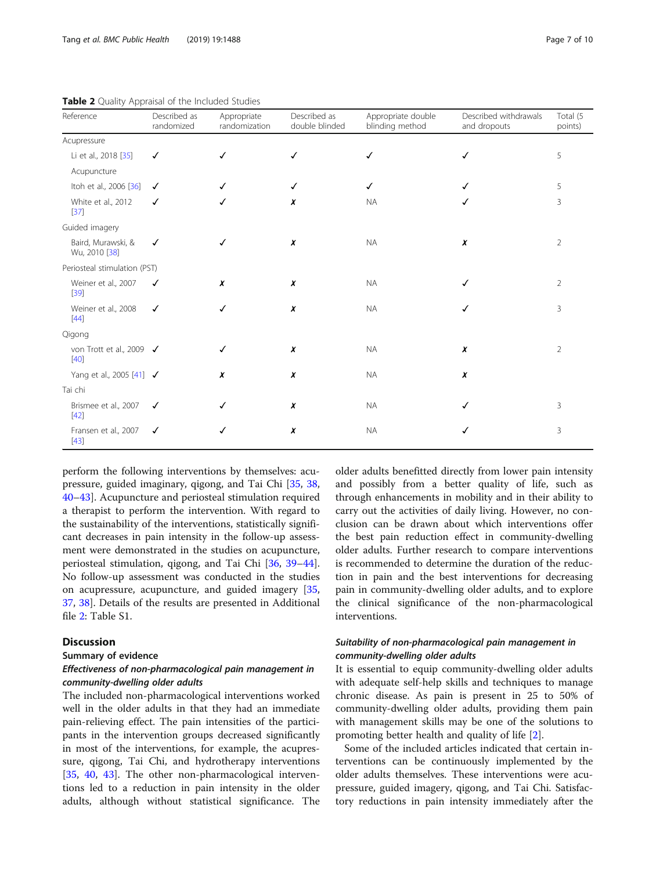| Reference                                     | Described as<br>randomized | Appropriate<br>randomization | Described as<br>double blinded | Appropriate double<br>blinding method | Described withdrawals<br>and dropouts | Total (5<br>points) |
|-----------------------------------------------|----------------------------|------------------------------|--------------------------------|---------------------------------------|---------------------------------------|---------------------|
| Acupressure                                   |                            |                              |                                |                                       |                                       |                     |
| Li et al., 2018 [35]                          | ✓                          | ✓                            | √                              | ✓                                     | ✓                                     | 5                   |
| Acupuncture                                   |                            |                              |                                |                                       |                                       |                     |
| Itoh et al., 2006 [36]                        | $\checkmark$               | ✓                            | ℐ                              | ✓                                     |                                       | 5                   |
| White et al., 2012<br>$[37]$                  | ✓                          |                              | x                              | <b>NA</b>                             |                                       | 3                   |
| Guided imagery                                |                            |                              |                                |                                       |                                       |                     |
| Baird, Murawski, &<br>Wu, 2010 [38]           | $\checkmark$               | ✓                            | x                              | <b>NA</b>                             | x                                     | $\overline{2}$      |
| Periosteal stimulation (PST)                  |                            |                              |                                |                                       |                                       |                     |
| Weiner et al., 2007<br>$[39]$                 | √                          | x                            | x                              | <b>NA</b>                             | √                                     | $\overline{2}$      |
| Weiner et al., 2008<br>$[44]$                 | $\checkmark$               | ℐ                            | x                              | <b>NA</b>                             |                                       | 3                   |
| Qigong                                        |                            |                              |                                |                                       |                                       |                     |
| von Trott et al., 2009 $\checkmark$<br>$[40]$ |                            | ✓                            | χ                              | <b>NA</b>                             | x                                     | 2                   |
| Yang et al., 2005 [41] √                      |                            | x                            | x                              | <b>NA</b>                             | x                                     |                     |
| Tai chi                                       |                            |                              |                                |                                       |                                       |                     |
| Brismee et al., 2007<br>$[42]$                | $\checkmark$               | ✓                            | x                              | <b>NA</b>                             | ℐ                                     | 3                   |
| Fransen et al., 2007<br>$[43]$                | √                          | ✓                            | x                              | <b>NA</b>                             | ✓                                     | 3                   |

<span id="page-6-0"></span>Table 2 Quality Appraisal of the Included Studies

perform the following interventions by themselves: acupressure, guided imaginary, qigong, and Tai Chi [\[35,](#page-8-0) [38](#page-9-0), [40](#page-9-0)–[43](#page-9-0)]. Acupuncture and periosteal stimulation required a therapist to perform the intervention. With regard to the sustainability of the interventions, statistically significant decreases in pain intensity in the follow-up assessment were demonstrated in the studies on acupuncture, periosteal stimulation, qigong, and Tai Chi [[36,](#page-8-0) [39](#page-9-0)–[44](#page-9-0)]. No follow-up assessment was conducted in the studies on acupressure, acupuncture, and guided imagery [[35](#page-8-0), [37,](#page-9-0) [38\]](#page-9-0). Details of the results are presented in Additional file [2:](#page-8-0) Table S1.

## Discussion

#### Summary of evidence

## Effectiveness of non-pharmacological pain management in community-dwelling older adults

The included non-pharmacological interventions worked well in the older adults in that they had an immediate pain-relieving effect. The pain intensities of the participants in the intervention groups decreased significantly in most of the interventions, for example, the acupressure, qigong, Tai Chi, and hydrotherapy interventions [[35,](#page-8-0) [40,](#page-9-0) [43\]](#page-9-0). The other non-pharmacological interventions led to a reduction in pain intensity in the older adults, although without statistical significance. The

older adults benefitted directly from lower pain intensity and possibly from a better quality of life, such as through enhancements in mobility and in their ability to carry out the activities of daily living. However, no conclusion can be drawn about which interventions offer the best pain reduction effect in community-dwelling older adults. Further research to compare interventions is recommended to determine the duration of the reduction in pain and the best interventions for decreasing pain in community-dwelling older adults, and to explore the clinical significance of the non-pharmacological interventions.

## Suitability of non-pharmacological pain management in community-dwelling older adults

It is essential to equip community-dwelling older adults with adequate self-help skills and techniques to manage chronic disease. As pain is present in 25 to 50% of community-dwelling older adults, providing them pain with management skills may be one of the solutions to promoting better health and quality of life [[2\]](#page-8-0).

Some of the included articles indicated that certain interventions can be continuously implemented by the older adults themselves. These interventions were acupressure, guided imagery, qigong, and Tai Chi. Satisfactory reductions in pain intensity immediately after the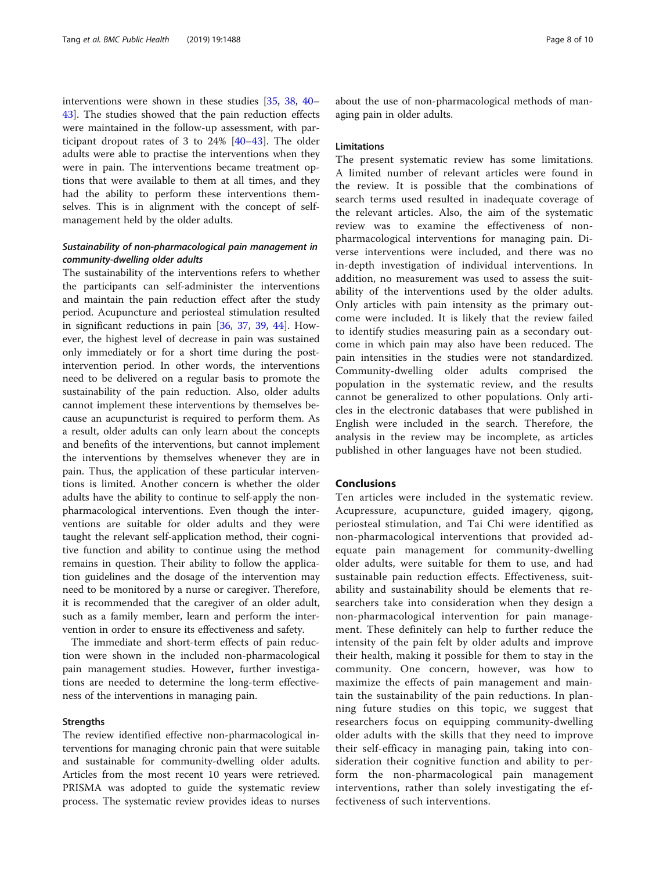interventions were shown in these studies [\[35](#page-8-0), [38](#page-9-0), [40](#page-9-0)– [43\]](#page-9-0). The studies showed that the pain reduction effects were maintained in the follow-up assessment, with participant dropout rates of 3 to 24% [\[40](#page-9-0)–[43\]](#page-9-0). The older adults were able to practise the interventions when they were in pain. The interventions became treatment options that were available to them at all times, and they had the ability to perform these interventions themselves. This is in alignment with the concept of selfmanagement held by the older adults.

## Sustainability of non-pharmacological pain management in community-dwelling older adults

The sustainability of the interventions refers to whether the participants can self-administer the interventions and maintain the pain reduction effect after the study period. Acupuncture and periosteal stimulation resulted in significant reductions in pain [\[36](#page-8-0), [37](#page-9-0), [39,](#page-9-0) [44\]](#page-9-0). However, the highest level of decrease in pain was sustained only immediately or for a short time during the postintervention period. In other words, the interventions need to be delivered on a regular basis to promote the sustainability of the pain reduction. Also, older adults cannot implement these interventions by themselves because an acupuncturist is required to perform them. As a result, older adults can only learn about the concepts and benefits of the interventions, but cannot implement the interventions by themselves whenever they are in pain. Thus, the application of these particular interventions is limited. Another concern is whether the older adults have the ability to continue to self-apply the nonpharmacological interventions. Even though the interventions are suitable for older adults and they were taught the relevant self-application method, their cognitive function and ability to continue using the method remains in question. Their ability to follow the application guidelines and the dosage of the intervention may need to be monitored by a nurse or caregiver. Therefore, it is recommended that the caregiver of an older adult, such as a family member, learn and perform the intervention in order to ensure its effectiveness and safety.

The immediate and short-term effects of pain reduction were shown in the included non-pharmacological pain management studies. However, further investigations are needed to determine the long-term effectiveness of the interventions in managing pain.

## **Strengths**

The review identified effective non-pharmacological interventions for managing chronic pain that were suitable and sustainable for community-dwelling older adults. Articles from the most recent 10 years were retrieved. PRISMA was adopted to guide the systematic review process. The systematic review provides ideas to nurses about the use of non-pharmacological methods of managing pain in older adults.

## Limitations

The present systematic review has some limitations. A limited number of relevant articles were found in the review. It is possible that the combinations of search terms used resulted in inadequate coverage of the relevant articles. Also, the aim of the systematic review was to examine the effectiveness of nonpharmacological interventions for managing pain. Diverse interventions were included, and there was no in-depth investigation of individual interventions. In addition, no measurement was used to assess the suitability of the interventions used by the older adults. Only articles with pain intensity as the primary outcome were included. It is likely that the review failed to identify studies measuring pain as a secondary outcome in which pain may also have been reduced. The pain intensities in the studies were not standardized. Community-dwelling older adults comprised the population in the systematic review, and the results cannot be generalized to other populations. Only articles in the electronic databases that were published in English were included in the search. Therefore, the analysis in the review may be incomplete, as articles published in other languages have not been studied.

## Conclusions

Ten articles were included in the systematic review. Acupressure, acupuncture, guided imagery, qigong, periosteal stimulation, and Tai Chi were identified as non-pharmacological interventions that provided adequate pain management for community-dwelling older adults, were suitable for them to use, and had sustainable pain reduction effects. Effectiveness, suitability and sustainability should be elements that researchers take into consideration when they design a non-pharmacological intervention for pain management. These definitely can help to further reduce the intensity of the pain felt by older adults and improve their health, making it possible for them to stay in the community. One concern, however, was how to maximize the effects of pain management and maintain the sustainability of the pain reductions. In planning future studies on this topic, we suggest that researchers focus on equipping community-dwelling older adults with the skills that they need to improve their self-efficacy in managing pain, taking into consideration their cognitive function and ability to perform the non-pharmacological pain management interventions, rather than solely investigating the effectiveness of such interventions.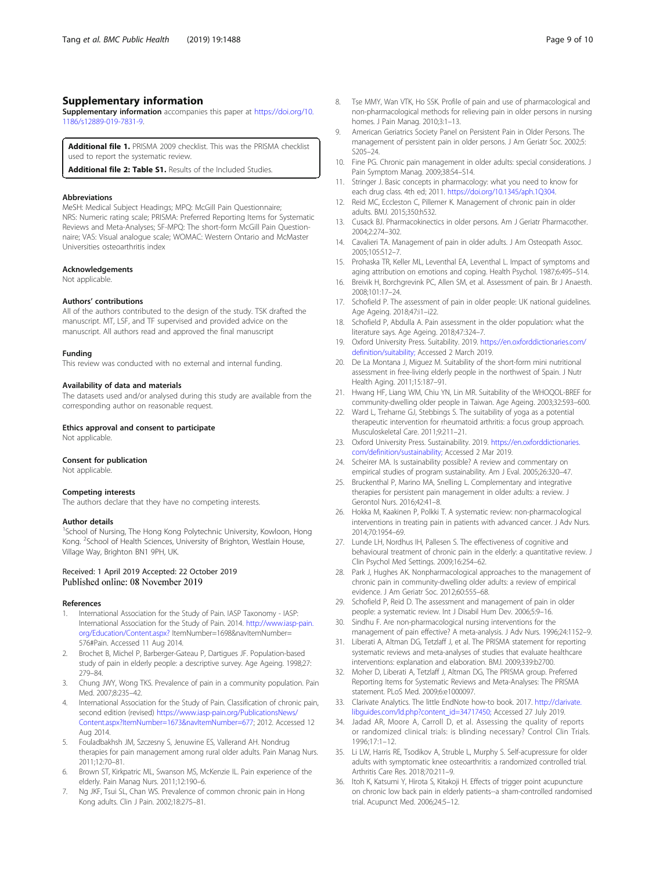## <span id="page-8-0"></span>Supplementary information

Supplementary information accompanies this paper at [https://doi.org/10.](https://doi.org/10.1186/s12889-019-7831-9) [1186/s12889-019-7831-9.](https://doi.org/10.1186/s12889-019-7831-9)

Additional file 1. PRISMA 2009 checklist. This was the PRISMA checklist used to report the systematic review.

Additional file 2: Table S1. Results of the Included Studies.

## Abbreviations

MeSH: Medical Subject Headings; MPQ: McGill Pain Questionnaire; NRS: Numeric rating scale; PRISMA: Preferred Reporting Items for Systematic Reviews and Meta-Analyses; SF-MPQ: The short-form McGill Pain Questionnaire; VAS: Visual analogue scale; WOMAC: Western Ontario and McMaster Universities osteoarthritis index

## Acknowledgements

Not applicable.

#### Authors' contributions

All of the authors contributed to the design of the study. TSK drafted the manuscript. MT, LSF, and TF supervised and provided advice on the manuscript. All authors read and approved the final manuscript

#### Funding

This review was conducted with no external and internal funding.

#### Availability of data and materials

The datasets used and/or analysed during this study are available from the corresponding author on reasonable request.

#### Ethics approval and consent to participate

Not applicable.

#### Consent for publication

Not applicable.

#### Competing interests

The authors declare that they have no competing interests.

#### Author details

<sup>1</sup>School of Nursing, The Hong Kong Polytechnic University, Kowloon, Hong Kong. <sup>2</sup>School of Health Sciences, University of Brighton, Westlain House, Village Way, Brighton BN1 9PH, UK.

## Received: 1 April 2019 Accepted: 22 October 2019 Published online: 08 November 2019

#### References

- 1. International Association for the Study of Pain. IASP Taxonomy IASP: International Association for the Study of Pain. 2014. [http://www.iasp-pain.](http://www.iasp-pain.org/Education/Content.aspx?) [org/Education/Content.aspx?](http://www.iasp-pain.org/Education/Content.aspx?) ItemNumber=1698&navItemNumber= 576#Pain. Accessed 11 Aug 2014.
- 2. Brochet B, Michel P, Barberger-Gateau P, Dartigues JF. Population-based study of pain in elderly people: a descriptive survey. Age Ageing. 1998;27: 279–84.
- 3. Chung JWY, Wong TKS. Prevalence of pain in a community population. Pain Med. 2007;8:235–42.
- 4. International Association for the Study of Pain. Classification of chronic pain, second edition (revised) https://www.iasp-pain.org/PublicationsNews, [Content.aspx?ItemNumber=1673&navItemNumber=677](https://www.iasp-pain.org/PublicationsNews/Content.aspx?ItemNumber=1673&navItemNumber=677); 2012. Accessed 12 Aug 2014.
- 5. Fouladbakhsh JM, Szczesny S, Jenuwine ES, Vallerand AH. Nondrug therapies for pain management among rural older adults. Pain Manag Nurs. 2011;12:70–81.
- 6. Brown ST, Kirkpatric ML, Swanson MS, McKenzie IL. Pain experience of the elderly. Pain Manag Nurs. 2011;12:190–6.
- 7. Ng JKF, Tsui SL, Chan WS. Prevalence of common chronic pain in Hong Kong adults. Clin J Pain. 2002;18:275–81.
- 8. Tse MMY, Wan VTK, Ho SSK. Profile of pain and use of pharmacological and non-pharmacological methods for relieving pain in older persons in nursing homes. J Pain Manag. 2010;3:1–13.
- 9. American Geriatrics Society Panel on Persistent Pain in Older Persons. The management of persistent pain in older persons. J Am Geriatr Soc. 2002;5: S205–24.
- 10. Fine PG. Chronic pain management in older adults: special considerations. J Pain Symptom Manag. 2009;38:S4–S14.
- 11. Stringer J. Basic concepts in pharmacology: what you need to know for each drug class. 4th ed; 2011. <https://doi.org/10.1345/aph.1Q304>.
- 12. Reid MC, Eccleston C, Pillemer K. Management of chronic pain in older adults. BMJ. 2015;350:h532.
- 13. Cusack BJ. Pharmacokinectics in older persons. Am J Geriatr Pharmacother. 2004;2:274–302.
- 14. Cavalieri TA. Management of pain in older adults. J Am Osteopath Assoc. 2005;105:S12–7.
- 15. Prohaska TR, Keller ML, Leventhal EA, Leventhal L. Impact of symptoms and aging attribution on emotions and coping. Health Psychol. 1987;6:495–514.
- 16. Breivik H, Borchgrevink PC, Allen SM, et al. Assessment of pain. Br J Anaesth. 2008;101:17–24.
- 17. Schofield P. The assessment of pain in older people: UK national guidelines. Age Ageing. 2018;47:i1–i22.
- 18. Schofield P, Abdulla A. Pain assessment in the older population: what the literature says. Age Ageing. 2018;47:324–7.
- 19. Oxford University Press. Suitability. 2019. [https://en.oxforddictionaries.com/](https://en.oxforddictionaries.com/definition/suitability;) [definition/suitability;](https://en.oxforddictionaries.com/definition/suitability;) Accessed 2 March 2019.
- 20. De La Montana J, Miguez M. Suitability of the short-form mini nutritional assessment in free-living elderly people in the northwest of Spain. J Nutr Health Aging. 2011;15:187–91.
- 21. Hwang HF, Liang WM, Chiu YN, Lin MR. Suitability of the WHOQOL-BREF for community-dwelling older people in Taiwan. Age Ageing. 2003;32:593–600.
- 22. Ward L, Treharne GJ, Stebbings S. The suitability of yoga as a potential therapeutic intervention for rheumatoid arthritis: a focus group approach. Musculoskeletal Care. 2011;9:211–21.
- 23. Oxford University Press. Sustainability. 2019. [https://en.oxforddictionaries.](https://en.oxforddictionaries.com/definition/sustainability;) [com/definition/sustainability;](https://en.oxforddictionaries.com/definition/sustainability;) Accessed 2 Mar 2019.
- 24. Scheirer MA. Is sustainability possible? A review and commentary on empirical studies of program sustainability. Am J Eval. 2005;26:320–47.
- 25. Bruckenthal P, Marino MA, Snelling L. Complementary and integrative therapies for persistent pain management in older adults: a review. J Gerontol Nurs. 2016;42:41–8.
- 26. Hokka M, Kaakinen P, Polkki T. A systematic review: non-pharmacological interventions in treating pain in patients with advanced cancer. J Adv Nurs. 2014;70:1954–69.
- 27. Lunde LH, Nordhus IH, Pallesen S. The effectiveness of cognitive and behavioural treatment of chronic pain in the elderly: a quantitative review. J Clin Psychol Med Settings. 2009;16:254–62.
- 28. Park J, Hughes AK. Nonpharmacological approaches to the management of chronic pain in community-dwelling older adults: a review of empirical evidence. J Am Geriatr Soc. 2012;60:555–68.
- 29. Schofield P, Reid D. The assessment and management of pain in older people: a systematic review. Int J Disabil Hum Dev. 2006;5:9–16.
- 30. Sindhu F. Are non-pharmacological nursing interventions for the management of pain effective? A meta-analysis. J Adv Nurs. 1996;24:1152–9.
- 31. Liberati A, Altman DG, Tetzlaff J, et al. The PRISMA statement for reporting systematic reviews and meta-analyses of studies that evaluate healthcare interventions: explanation and elaboration. BMJ. 2009;339:b2700.
- 32. Moher D, Liberati A, Tetzlaff J, Altman DG, The PRISMA group. Preferred Reporting Items for Systematic Reviews and Meta-Analyses: The PRISMA statement. PLoS Med. 2009;6:e1000097.
- 33. Clarivate Analytics. The little EndNote how-to book. 2017. [http://clarivate.](http://clarivate.libguides.com/ld.php?content_id=34717450;) [libguides.com/ld.php?content\\_id=34717450;](http://clarivate.libguides.com/ld.php?content_id=34717450;) Accessed 27 July 2019.
- 34. Jadad AR, Moore A, Carroll D, et al. Assessing the quality of reports or randomized clinical trials: is blinding necessary? Control Clin Trials. 1996;17:1–12.
- 35. Li LW, Harris RE, Tsodikov A, Struble L, Murphy S. Self-acupressure for older adults with symptomatic knee osteoarthritis: a randomized controlled trial. Arthritis Care Res. 2018;70:211–9.
- 36. Itoh K, Katsumi Y, Hirota S, Kitakoji H. Effects of trigger point acupuncture on chronic low back pain in elderly patients--a sham-controlled randomised trial. Acupunct Med. 2006;24:5–12.